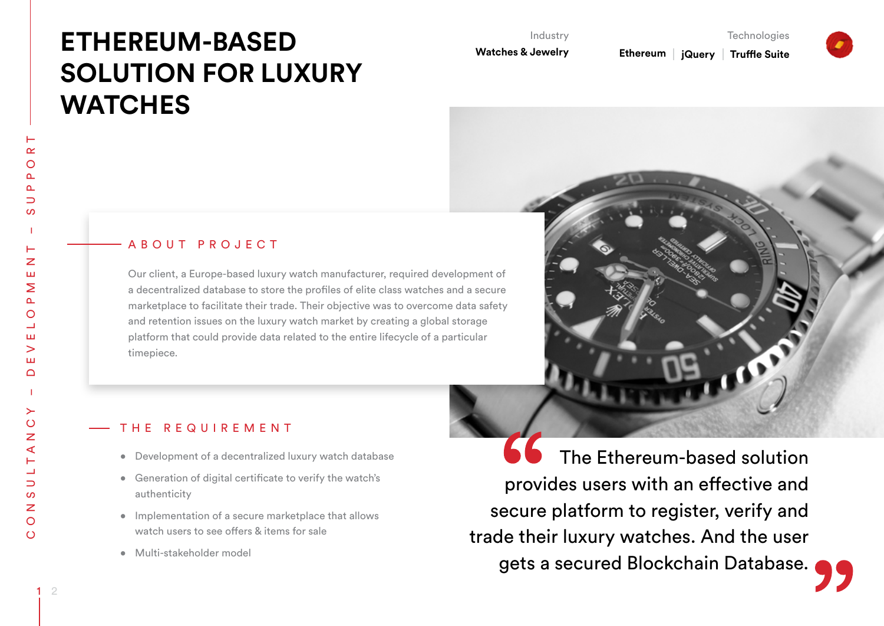# **ETHEREUM-BASED SOLUTION FOR LUXURY WATCHES**

Industry

**Watches & Jewelry**

Ethereum | **jQuery Truffle Suite**

**Technologies** 



 $\alpha$ 

# ABOUT PROJECT

Our client, a Europe-based luxury watch manufacturer, required development of a decentralized database to store the profiles of elite class watches and a secure marketplace to facilitate their trade. Their objective was to overcome data safety and retention issues on the luxury watch market by creating a global storage platform that could provide data related to the entire lifecycle of a particular timepiece.



# T H E R E Q U I R E M E N T

- • Development of a decentralized luxury watch database
- • Generation of digital certificate to verify the watch's authenticity
- • Implementation of a secure marketplace that allows watch users to see offers & items for sale
- • Multi-stakeholder model

The Ethereum-based solution provides users with an effective and secure platform to register, verify and trade their luxury watches. And the user gets a secured Blockchain Database.